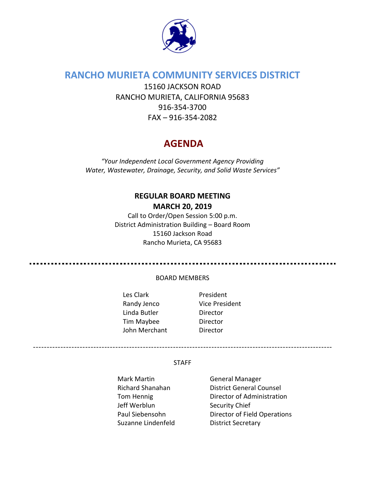

# **RANCHO MURIETA COMMUNITY SERVICES DISTRICT**

15160 JACKSON ROAD RANCHO MURIETA, CALIFORNIA 95683 916-354-3700 FAX – 916-354-2082

# **AGENDA**

*"Your Independent Local Government Agency Providing Water, Wastewater, Drainage, Security, and Solid Waste Services"*

# **REGULAR BOARD MEETING MARCH 20, 2019**

Call to Order/Open Session 5:00 p.m. District Administration Building – Board Room 15160 Jackson Road Rancho Murieta, CA 95683

#### BOARD MEMBERS

- Les Clark **President** Randy Jenco Vice President Linda Butler Director Tim Maybee Director John Merchant Director
	-

#### STAFF

Mark Martin General Manager Jeff Werblun Security Chief Suzanne Lindenfeld District Secretary

Richard Shanahan District General Counsel Tom Hennig **Director of Administration** Paul Siebensohn Director of Field Operations

-------------------------------------------------------------------------------------------------------------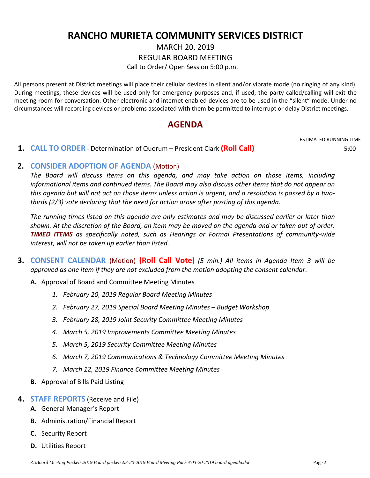# **RANCHO MURIETA COMMUNITY SERVICES DISTRICT**

MARCH 20, 2019

REGULAR BOARD MEETING

Call to Order/ Open Session 5:00 p.m.

All persons present at District meetings will place their cellular devices in silent and/or vibrate mode (no ringing of any kind). During meetings, these devices will be used only for emergency purposes and, if used, the party called/calling will exit the meeting room for conversation. Other electronic and internet enabled devices are to be used in the "silent" mode. Under no circumstances will recording devices or problems associated with them be permitted to interrupt or delay District meetings.

## **AGENDA**

#### **1. CALL TO ORDER** - Determination of Quorum – President Clark **(Roll Call)** 5:00

ESTIMATED RUNNING TIME

### **2. CONSIDER ADOPTION OF AGENDA** (Motion)

*The Board will discuss items on this agenda, and may take action on those items, including informational items and continued items. The Board may also discuss other items that do not appear on this agenda but will not act on those items unless action is urgent, and a resolution is passed by a twothirds (2/3) vote declaring that the need for action arose after posting of this agenda.*

*The running times listed on this agenda are only estimates and may be discussed earlier or later than shown. At the discretion of the Board, an item may be moved on the agenda and or taken out of order. TIMED ITEMS as specifically noted, such as Hearings or Formal Presentations of community-wide interest, will not be taken up earlier than listed.*

- **3. CONSENT CALENDAR** (Motion) **(Roll Call Vote)** *(5 min.) All items in Agenda Item 3 will be approved as one item if they are not excluded from the motion adopting the consent calendar*.
	- **A.** Approval of Board and Committee Meeting Minutes
		- *1. February 20, 2019 Regular Board Meeting Minutes*
		- *2. February 27, 2019 Special Board Meeting Minutes – Budget Workshop*
		- *3. February 28, 2019 Joint Security Committee Meeting Minutes*
		- *4. March 5, 2019 Improvements Committee Meeting Minutes*
		- *5. March 5, 2019 Security Committee Meeting Minutes*
		- *6. March 7, 2019 Communications & Technology Committee Meeting Minutes*
		- *7. March 12, 2019 Finance Committee Meeting Minutes*
	- **B.** Approval of Bills Paid Listing

#### **4. STAFF REPORTS** (Receive and File)

- **A.** General Manager's Report
- **B.** Administration/Financial Report
- **C.** Security Report
- **D.** Utilities Report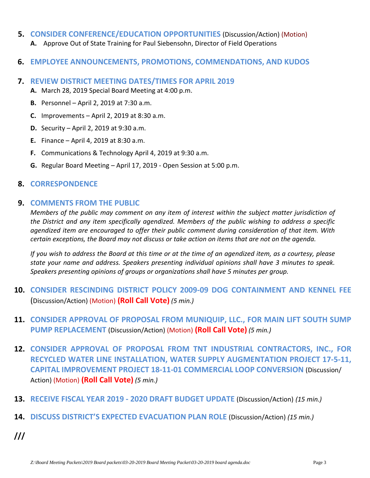- **5. CONSIDER CONFERENCE/EDUCATION OPPORTUNITIES** (Discussion/Action) (Motion) **A.** Approve Out of State Training for Paul Siebensohn, Director of Field Operations
- **6. EMPLOYEE ANNOUNCEMENTS, PROMOTIONS, COMMENDATIONS, AND KUDOS**
- **7. REVIEW DISTRICT MEETING DATES/TIMES FOR APRIL 2019**
	- **A.** March 28, 2019 Special Board Meeting at 4:00 p.m.
	- **B.** Personnel April 2, 2019 at 7:30 a.m.
	- **C.** Improvements April 2, 2019 at 8:30 a.m.
	- **D.** Security April 2, 2019 at 9:30 a.m.
	- **E.** Finance April 4, 2019 at 8:30 a.m.
	- **F.** Communications & Technology April 4, 2019 at 9:30 a.m.
	- **G.** Regular Board Meeting April 17, 2019 Open Session at 5:00 p.m.

### **8. CORRESPONDENCE**

### **9. COMMENTS FROM THE PUBLIC**

*Members of the public may comment on any item of interest within the subject matter jurisdiction of the District and any item specifically agendized. Members of the public wishing to address a specific agendized item are encouraged to offer their public comment during consideration of that item. With certain exceptions, the Board may not discuss or take action on items that are not on the agenda.* 

*If you wish to address the Board at this time or at the time of an agendized item, as a courtesy, please state your name and address. Speakers presenting individual opinions shall have 3 minutes to speak. Speakers presenting opinions of groups or organizations shall have 5 minutes per group.*

- **10. CONSIDER RESCINDING DISTRICT POLICY 2009-09 DOG CONTAINMENT AND KENNEL FEE**  (Discussion/Action) (Motion) **(Roll Call Vote)** *(5 min.)*
- **11. CONSIDER APPROVAL OF PROPOSAL FROM MUNIQUIP, LLC., FOR MAIN LIFT SOUTH SUMP PUMP REPLACEMENT** (Discussion/Action) (Motion) **(Roll Call Vote)** *(5 min.)*
- **12. CONSIDER APPROVAL OF PROPOSAL FROM TNT INDUSTRIAL CONTRACTORS, INC., FOR RECYCLED WATER LINE INSTALLATION, WATER SUPPLY AUGMENTATION PROJECT 17-5-11, CAPITAL IMPROVEMENT PROJECT 18-11-01 COMMERCIAL LOOP CONVERSION** (Discussion/ Action) (Motion) **(Roll Call Vote)** *(5 min.)*
- **13. RECEIVE FISCAL YEAR 2019 - 2020 DRAFT BUDGET UPDATE** (Discussion/Action) *(15 min.)*
- **14. DISCUSS DISTRICT'S EXPECTED EVACUATION PLAN ROLE** (Discussion/Action) *(15 min.)*
- **///**